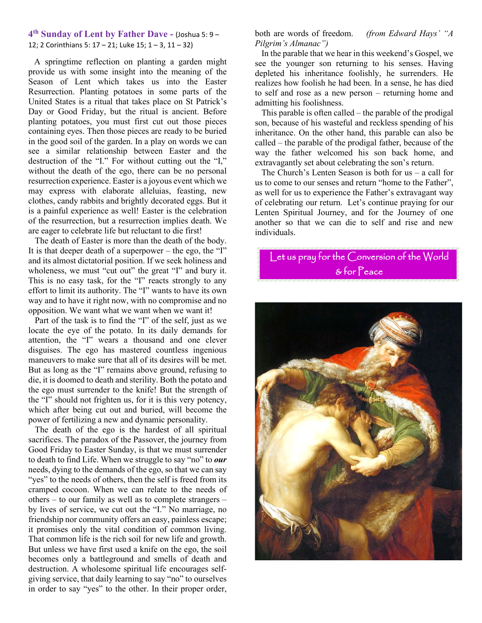#### **4th Sunday of Lent by Father Dave -** (Joshua 5: 9 – 12; 2 Corinthians 5: 17 – 21; Luke 15; 1 – 3, 11 – 32)

 A springtime reflection on planting a garden might provide us with some insight into the meaning of the Season of Lent which takes us into the Easter Resurrection. Planting potatoes in some parts of the United States is a ritual that takes place on St Patrick's Day or Good Friday, but the ritual is ancient. Before planting potatoes, you must first cut out those pieces containing eyes. Then those pieces are ready to be buried in the good soil of the garden. In a play on words we can see a similar relationship between Easter and the destruction of the "I." For without cutting out the "I," without the death of the ego, there can be no personal resurrection experience. Easter is a joyous event which we may express with elaborate alleluias, feasting, new clothes, candy rabbits and brightly decorated eggs. But it is a painful experience as well! Easter is the celebration of the resurrection, but a resurrection implies death. We are eager to celebrate life but reluctant to die first!

 The death of Easter is more than the death of the body. It is that deeper death of a superpower – the ego, the "I" and its almost dictatorial position. If we seek holiness and wholeness, we must "cut out" the great "I" and bury it. This is no easy task, for the "I" reacts strongly to any effort to limit its authority. The "I" wants to have its own way and to have it right now, with no compromise and no opposition. We want what we want when we want it!

 Part of the task is to find the "I" of the self, just as we locate the eye of the potato. In its daily demands for attention, the "I" wears a thousand and one clever disguises. The ego has mastered countless ingenious maneuvers to make sure that all of its desires will be met. But as long as the "I" remains above ground, refusing to die, it is doomed to death and sterility. Both the potato and the ego must surrender to the knife! But the strength of the "I" should not frighten us, for it is this very potency, which after being cut out and buried, will become the power of fertilizing a new and dynamic personality.

 The death of the ego is the hardest of all spiritual sacrifices. The paradox of the Passover, the journey from Good Friday to Easter Sunday, is that we must surrender to death to find Life. When we struggle to say "no" to *our* needs, dying to the demands of the ego, so that we can say "yes" to the needs of others, then the self is freed from its cramped cocoon. When we can relate to the needs of others – to our family as well as to complete strangers – by lives of service, we cut out the "I." No marriage, no friendship nor community offers an easy, painless escape; it promises only the vital condition of common living. That common life is the rich soil for new life and growth. But unless we have first used a knife on the ego, the soil becomes only a battleground and smells of death and destruction. A wholesome spiritual life encourages selfgiving service, that daily learning to say "no" to ourselves in order to say "yes" to the other. In their proper order,

both are words of freedom. *(from Edward Hays' "A Pilgrim's Almanac")*

 In the parable that we hear in this weekend's Gospel, we see the younger son returning to his senses. Having depleted his inheritance foolishly, he surrenders. He realizes how foolish he had been. In a sense, he has died to self and rose as a new person – returning home and admitting his foolishness.

 This parable is often called – the parable of the prodigal son, because of his wasteful and reckless spending of his inheritance. On the other hand, this parable can also be called – the parable of the prodigal father, because of the way the father welcomed his son back home, and extravagantly set about celebrating the son's return.

The Church's Lenten Season is both for  $us - a$  call for us to come to our senses and return "home to the Father", as well for us to experience the Father's extravagant way of celebrating our return. Let's continue praying for our Lenten Spiritual Journey, and for the Journey of one another so that we can die to self and rise and new individuals.

# Let us pray for the Conversion of the World & for Peace